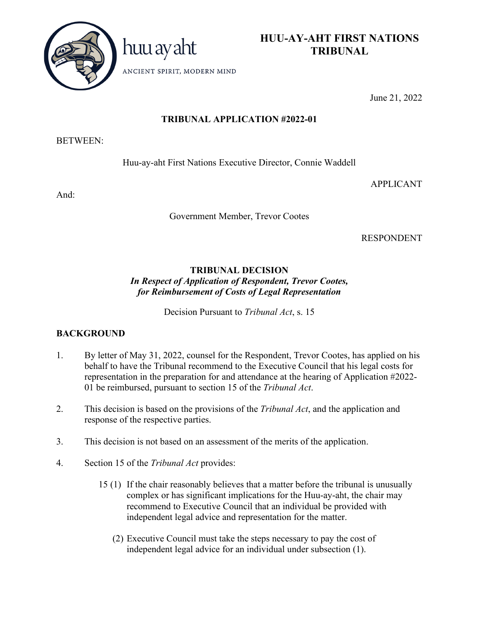



ANCIENT SPIRIT, MODERN MIND

June 21, 2022

# **TRIBUNAL APPLICATION #2022-01**

#### BETWEEN:

Huu-ay-aht First Nations Executive Director, Connie Waddell

And:

Government Member, Trevor Cootes

RESPONDENT

APPLICANT

# **TRIBUNAL DECISION** *In Respect of Application of Respondent, Trevor Cootes, for Reimbursement of Costs of Legal Representation*

Decision Pursuant to *Tribunal Act*, s. 15

# **BACKGROUND**

- 1. By letter of May 31, 2022, counsel for the Respondent, Trevor Cootes, has applied on his behalf to have the Tribunal recommend to the Executive Council that his legal costs for representation in the preparation for and attendance at the hearing of Application #2022- 01 be reimbursed, pursuant to section 15 of the *Tribunal Act*.
- 2. This decision is based on the provisions of the *Tribunal Act*, and the application and response of the respective parties.
- 3. This decision is not based on an assessment of the merits of the application.
- 4. Section 15 of the *Tribunal Act* provides:
	- 15 (1) If the chair reasonably believes that a matter before the tribunal is unusually complex or has significant implications for the Huu-ay-aht, the chair may recommend to Executive Council that an individual be provided with independent legal advice and representation for the matter.
		- (2) Executive Council must take the steps necessary to pay the cost of independent legal advice for an individual under subsection (1).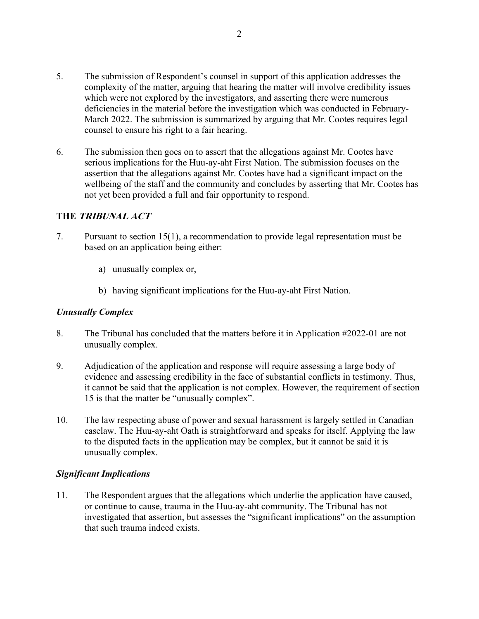- 5. The submission of Respondent's counsel in support of this application addresses the complexity of the matter, arguing that hearing the matter will involve credibility issues which were not explored by the investigators, and asserting there were numerous deficiencies in the material before the investigation which was conducted in February-March 2022. The submission is summarized by arguing that Mr. Cootes requires legal counsel to ensure his right to a fair hearing.
- 6. The submission then goes on to assert that the allegations against Mr. Cootes have serious implications for the Huu-ay-aht First Nation. The submission focuses on the assertion that the allegations against Mr. Cootes have had a significant impact on the wellbeing of the staff and the community and concludes by asserting that Mr. Cootes has not yet been provided a full and fair opportunity to respond.

### **THE TRIBUNAL ACT**

- 7. Pursuant to section 15(1), a recommendation to provide legal representation must be based on an application being either:
	- a) unusually complex or,
	- b) having significant implications for the Huu-ay-aht First Nation.

## *Unusually Complex*

- 8. The Tribunal has concluded that the matters before it in Application #2022-01 are not unusually complex.
- 9. Adjudication of the application and response will require assessing a large body of evidence and assessing credibility in the face of substantial conflicts in testimony. Thus, it cannot be said that the application is not complex. However, the requirement of section 15 is that the matter be "unusually complex".
- 10. The law respecting abuse of power and sexual harassment is largely settled in Canadian caselaw. The Huu-ay-aht Oath is straightforward and speaks for itself. Applying the law to the disputed facts in the application may be complex, but it cannot be said it is unusually complex.

#### *Significant Implications*

11. The Respondent argues that the allegations which underlie the application have caused, or continue to cause, trauma in the Huu-ay-aht community. The Tribunal has not investigated that assertion, but assesses the "significant implications" on the assumption that such trauma indeed exists.